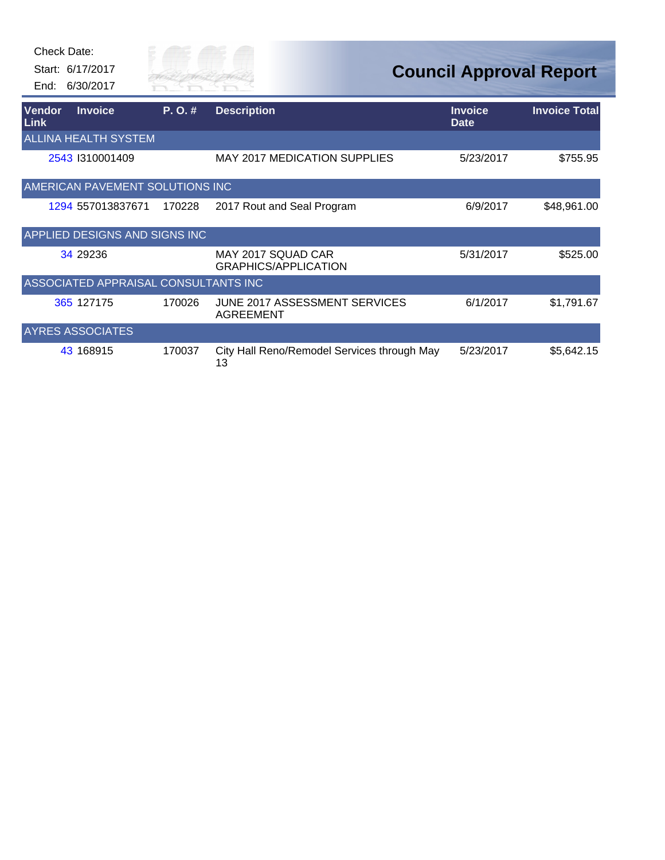|                       | Check Date:<br>Start: 6/17/2017<br>End: 6/30/2017 | City of<br><b>CIVER FAI</b> |                                                   |                               | <b>Council Approval Report</b> |
|-----------------------|---------------------------------------------------|-----------------------------|---------------------------------------------------|-------------------------------|--------------------------------|
| Vendor<br><b>Link</b> | <b>Invoice</b>                                    | P. O. #                     | <b>Description</b>                                | <b>Invoice</b><br><b>Date</b> | <b>Invoice Total</b>           |
|                       | <b>ALLINA HEALTH SYSTEM</b>                       |                             |                                                   |                               |                                |
|                       | 2543 1310001409                                   |                             | <b>MAY 2017 MEDICATION SUPPLIES</b>               | 5/23/2017                     | \$755.95                       |
|                       | AMERICAN PAVEMENT SOLUTIONS INC                   |                             |                                                   |                               |                                |
|                       | 1294 557013837671                                 | 170228                      | 2017 Rout and Seal Program                        | 6/9/2017                      | \$48,961.00                    |
|                       | <b>APPLIED DESIGNS AND SIGNS INC</b>              |                             |                                                   |                               |                                |
|                       | 34 29 236                                         |                             | MAY 2017 SQUAD CAR<br><b>GRAPHICS/APPLICATION</b> | 5/31/2017                     | \$525.00                       |
|                       | ASSOCIATED APPRAISAL CONSULTANTS INC              |                             |                                                   |                               |                                |
|                       | 365 127175                                        | 170026                      | JUNE 2017 ASSESSMENT SERVICES<br><b>AGREEMENT</b> | 6/1/2017                      | \$1,791.67                     |
|                       | <b>AYRES ASSOCIATES</b>                           |                             |                                                   |                               |                                |
|                       | 43 168915                                         | 170037                      | City Hall Reno/Remodel Services through May<br>13 | 5/23/2017                     | \$5,642.15                     |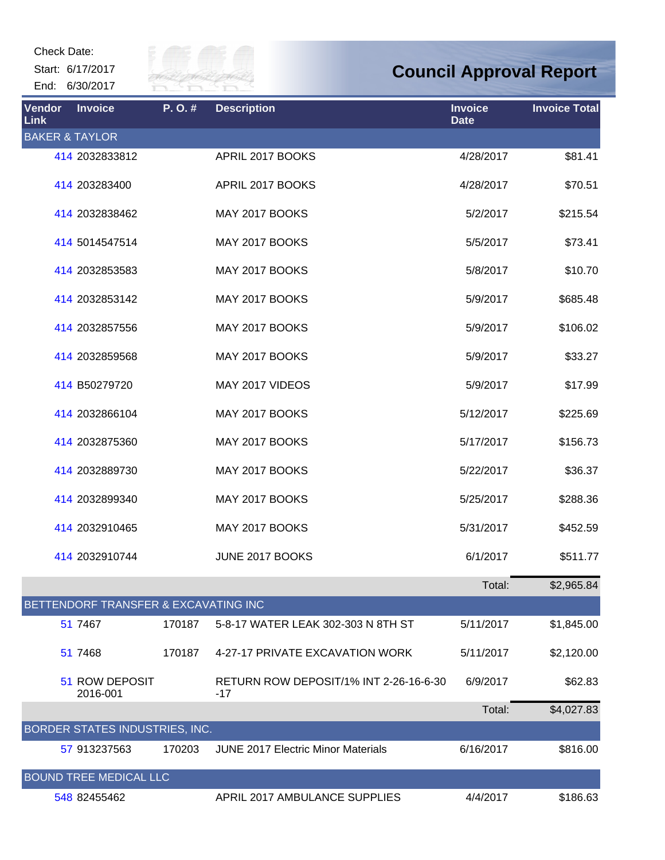Start: 6/17/2017 End: 6/30/2017



| Vendor<br><b>Link</b>     | <b>Invoice</b>                       | P.O.#  | <b>Description</b>                            | <b>Invoice</b><br><b>Date</b> | <b>Invoice Total</b> |
|---------------------------|--------------------------------------|--------|-----------------------------------------------|-------------------------------|----------------------|
| <b>BAKER &amp; TAYLOR</b> |                                      |        |                                               |                               |                      |
|                           | 414 2032833812                       |        | APRIL 2017 BOOKS                              | 4/28/2017                     | \$81.41              |
|                           | 414 203283400                        |        | APRIL 2017 BOOKS                              | 4/28/2017                     | \$70.51              |
|                           | 414 2032838462                       |        | MAY 2017 BOOKS                                | 5/2/2017                      | \$215.54             |
|                           | 414 5014547514                       |        | MAY 2017 BOOKS                                | 5/5/2017                      | \$73.41              |
|                           | 414 2032853583                       |        | MAY 2017 BOOKS                                | 5/8/2017                      | \$10.70              |
|                           | 414 2032853142                       |        | MAY 2017 BOOKS                                | 5/9/2017                      | \$685.48             |
|                           | 414 2032857556                       |        | MAY 2017 BOOKS                                | 5/9/2017                      | \$106.02             |
|                           | 414 2032859568                       |        | MAY 2017 BOOKS                                | 5/9/2017                      | \$33.27              |
|                           | 414 B50279720                        |        | MAY 2017 VIDEOS                               | 5/9/2017                      | \$17.99              |
|                           | 414 2032866104                       |        | MAY 2017 BOOKS                                | 5/12/2017                     | \$225.69             |
|                           | 414 2032875360                       |        | MAY 2017 BOOKS                                | 5/17/2017                     | \$156.73             |
|                           | 414 2032889730                       |        | MAY 2017 BOOKS                                | 5/22/2017                     | \$36.37              |
|                           | 414 2032899340                       |        | MAY 2017 BOOKS                                | 5/25/2017                     | \$288.36             |
|                           | 414 2032910465                       |        | MAY 2017 BOOKS                                | 5/31/2017                     | \$452.59             |
|                           | 414 2032910744                       |        | JUNE 2017 BOOKS                               | 6/1/2017                      | \$511.77             |
|                           |                                      |        |                                               | Total:                        | \$2,965.84           |
|                           | BETTENDORF TRANSFER & EXCAVATING INC |        |                                               |                               |                      |
|                           | 51 7467                              | 170187 | 5-8-17 WATER LEAK 302-303 N 8TH ST            | 5/11/2017                     | \$1,845.00           |
|                           | 51 7468                              | 170187 | 4-27-17 PRIVATE EXCAVATION WORK               | 5/11/2017                     | \$2,120.00           |
|                           | 51 ROW DEPOSIT<br>2016-001           |        | RETURN ROW DEPOSIT/1% INT 2-26-16-6-30<br>-17 | 6/9/2017                      | \$62.83              |
|                           |                                      |        |                                               | Total:                        | \$4,027.83           |
|                           | BORDER STATES INDUSTRIES, INC.       |        |                                               |                               |                      |
|                           | 57 913237563                         | 170203 | <b>JUNE 2017 Electric Minor Materials</b>     | 6/16/2017                     | \$816.00             |
|                           | <b>BOUND TREE MEDICAL LLC</b>        |        |                                               |                               |                      |
|                           | 548 82455462                         |        | APRIL 2017 AMBULANCE SUPPLIES                 | 4/4/2017                      | \$186.63             |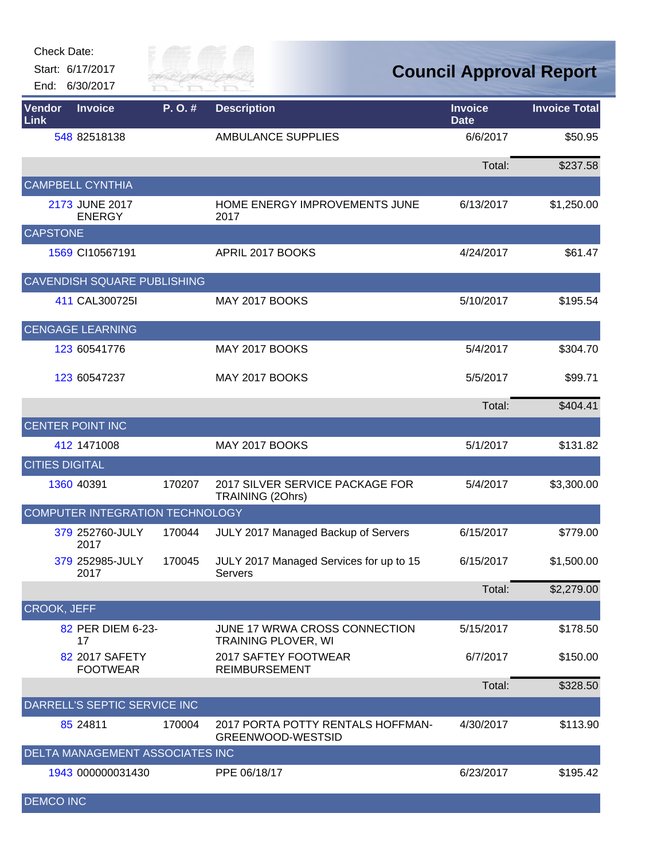| Check Date: |  |
|-------------|--|
|             |  |

Start: 6/17/2017 End: 6/30/2017



| Vendor<br>Link     | <b>Invoice</b>                    | P.O.#  | <b>Description</b>                                          | <b>Invoice</b><br><b>Date</b> | <b>Invoice Total</b> |
|--------------------|-----------------------------------|--------|-------------------------------------------------------------|-------------------------------|----------------------|
|                    | 548 82518138                      |        | <b>AMBULANCE SUPPLIES</b>                                   | 6/6/2017                      | \$50.95              |
|                    |                                   |        |                                                             | Total:                        | \$237.58             |
|                    | <b>CAMPBELL CYNTHIA</b>           |        |                                                             |                               |                      |
|                    | 2173 JUNE 2017<br><b>ENERGY</b>   |        | HOME ENERGY IMPROVEMENTS JUNE<br>2017                       | 6/13/2017                     | \$1,250.00           |
| <b>CAPSTONE</b>    |                                   |        |                                                             |                               |                      |
|                    | 1569 CI10567191                   |        | APRIL 2017 BOOKS                                            | 4/24/2017                     | \$61.47              |
|                    | CAVENDISH SQUARE PUBLISHING       |        |                                                             |                               |                      |
|                    | 411 CAL300725I                    |        | MAY 2017 BOOKS                                              | 5/10/2017                     | \$195.54             |
|                    | <b>CENGAGE LEARNING</b>           |        |                                                             |                               |                      |
|                    | 123 60541776                      |        | MAY 2017 BOOKS                                              | 5/4/2017                      | \$304.70             |
|                    | 123 60547237                      |        | MAY 2017 BOOKS                                              | 5/5/2017                      | \$99.71              |
|                    |                                   |        |                                                             | Total:                        | \$404.41             |
|                    | <b>CENTER POINT INC</b>           |        |                                                             |                               |                      |
|                    | 412 1471008                       |        | MAY 2017 BOOKS                                              | 5/1/2017                      | \$131.82             |
|                    | <b>CITIES DIGITAL</b>             |        |                                                             |                               |                      |
|                    | 1360 40391                        | 170207 | 2017 SILVER SERVICE PACKAGE FOR<br>TRAINING (20hrs)         | 5/4/2017                      | \$3,300.00           |
|                    | COMPUTER INTEGRATION TECHNOLOGY   |        |                                                             |                               |                      |
|                    | 379 252760-JULY<br>2017           | 170044 | JULY 2017 Managed Backup of Servers                         | 6/15/2017                     | \$779.00             |
|                    | 379 252985-JULY<br>2017           | 170045 | JULY 2017 Managed Services for up to 15<br><b>Servers</b>   | 6/15/2017                     | \$1,500.00           |
|                    |                                   |        |                                                             | Total:                        | \$2,279.00           |
| <b>CROOK, JEFF</b> |                                   |        |                                                             |                               |                      |
|                    | 82 PER DIEM 6-23-<br>17           |        | JUNE 17 WRWA CROSS CONNECTION<br><b>TRAINING PLOVER, WI</b> | 5/15/2017                     | \$178.50             |
|                    | 82 2017 SAFETY<br><b>FOOTWEAR</b> |        | 2017 SAFTEY FOOTWEAR<br><b>REIMBURSEMENT</b>                | 6/7/2017                      | \$150.00             |
|                    |                                   |        |                                                             | Total:                        | \$328.50             |
|                    | DARRELL'S SEPTIC SERVICE INC      |        |                                                             |                               |                      |
|                    | 85 24811                          | 170004 | 2017 PORTA POTTY RENTALS HOFFMAN-<br>GREENWOOD-WESTSID      | 4/30/2017                     | \$113.90             |
|                    | DELTA MANAGEMENT ASSOCIATES INC   |        |                                                             |                               |                      |
|                    | 1943 000000031430                 |        | PPE 06/18/17                                                | 6/23/2017                     | \$195.42             |
| <b>DEMCO INC</b>   |                                   |        |                                                             |                               |                      |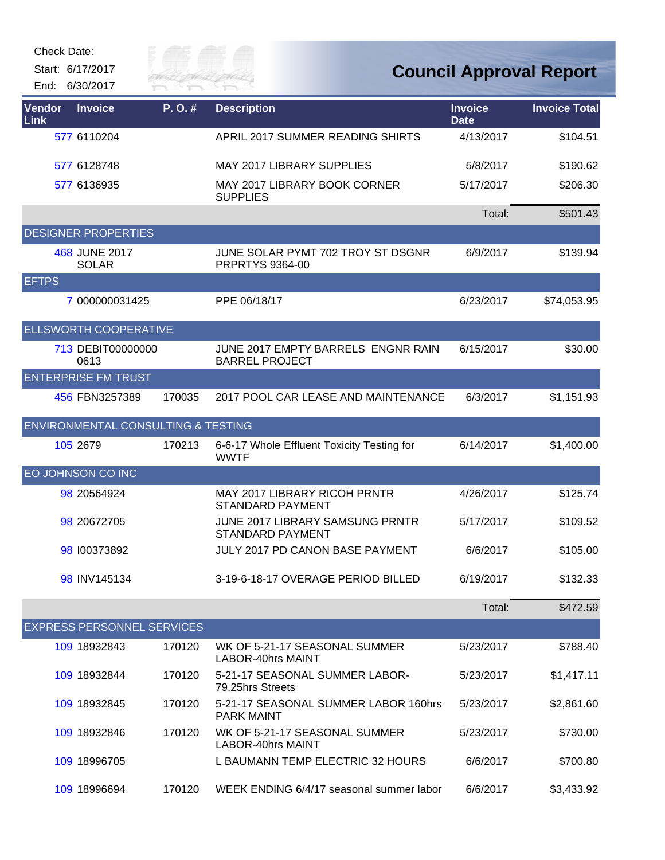| Check Date: |  |
|-------------|--|
|-------------|--|

Start: 6/17/2017

End: 6/30/2017



| Vendor<br>Link | <b>Invoice</b>                                | P.O.#  | <b>Description</b>                                             | <b>Invoice</b><br><b>Date</b> | <b>Invoice Total</b> |
|----------------|-----------------------------------------------|--------|----------------------------------------------------------------|-------------------------------|----------------------|
|                | 577 6110204                                   |        | APRIL 2017 SUMMER READING SHIRTS                               | 4/13/2017                     | \$104.51             |
|                | 577 6128748                                   |        | MAY 2017 LIBRARY SUPPLIES                                      | 5/8/2017                      | \$190.62             |
|                | 577 6136935                                   |        | MAY 2017 LIBRARY BOOK CORNER<br><b>SUPPLIES</b>                | 5/17/2017                     | \$206.30             |
|                |                                               |        |                                                                | Total:                        | \$501.43             |
|                | <b>DESIGNER PROPERTIES</b>                    |        |                                                                |                               |                      |
|                | 468 JUNE 2017<br><b>SOLAR</b>                 |        | JUNE SOLAR PYMT 702 TROY ST DSGNR<br>PRPRTYS 9364-00           | 6/9/2017                      | \$139.94             |
| <b>EFTPS</b>   |                                               |        |                                                                |                               |                      |
|                | 7 000000031425                                |        | PPE 06/18/17                                                   | 6/23/2017                     | \$74,053.95          |
|                | <b>ELLSWORTH COOPERATIVE</b>                  |        |                                                                |                               |                      |
|                | 713 DEBIT00000000<br>0613                     |        | JUNE 2017 EMPTY BARRELS ENGNR RAIN<br><b>BARREL PROJECT</b>    | 6/15/2017                     | \$30.00              |
|                | <b>ENTERPRISE FM TRUST</b>                    |        |                                                                |                               |                      |
|                | 456 FBN3257389                                | 170035 | 2017 POOL CAR LEASE AND MAINTENANCE                            | 6/3/2017                      | \$1,151.93           |
|                | <b>ENVIRONMENTAL CONSULTING &amp; TESTING</b> |        |                                                                |                               |                      |
|                | 105 2679                                      | 170213 | 6-6-17 Whole Effluent Toxicity Testing for<br><b>WWTF</b>      | 6/14/2017                     | \$1,400.00           |
|                | EO JOHNSON CO INC                             |        |                                                                |                               |                      |
|                | 98 20564924                                   |        | <b>MAY 2017 LIBRARY RICOH PRNTR</b><br><b>STANDARD PAYMENT</b> | 4/26/2017                     | \$125.74             |
|                | 98 20672705                                   |        | JUNE 2017 LIBRARY SAMSUNG PRNTR<br><b>STANDARD PAYMENT</b>     | 5/17/2017                     | \$109.52             |
|                | 98 100373892                                  |        | <b>JULY 2017 PD CANON BASE PAYMENT</b>                         | 6/6/2017                      | \$105.00             |
|                | 98 INV145134                                  |        | 3-19-6-18-17 OVERAGE PERIOD BILLED                             | 6/19/2017                     | \$132.33             |
|                |                                               |        |                                                                | Total:                        | \$472.59             |
|                | <b>EXPRESS PERSONNEL SERVICES</b>             |        |                                                                |                               |                      |
|                | 109 18932843                                  | 170120 | WK OF 5-21-17 SEASONAL SUMMER<br><b>LABOR-40hrs MAINT</b>      | 5/23/2017                     | \$788.40             |
|                | 109 18932844                                  | 170120 | 5-21-17 SEASONAL SUMMER LABOR-<br>79.25hrs Streets             | 5/23/2017                     | \$1,417.11           |
|                | 109 18932845                                  | 170120 | 5-21-17 SEASONAL SUMMER LABOR 160hrs<br><b>PARK MAINT</b>      | 5/23/2017                     | \$2,861.60           |
|                | 109 18932846                                  | 170120 | WK OF 5-21-17 SEASONAL SUMMER<br><b>LABOR-40hrs MAINT</b>      | 5/23/2017                     | \$730.00             |
|                | 109 18996705                                  |        | L BAUMANN TEMP ELECTRIC 32 HOURS                               | 6/6/2017                      | \$700.80             |
|                | 109 18996694                                  | 170120 | WEEK ENDING 6/4/17 seasonal summer labor                       | 6/6/2017                      | \$3,433.92           |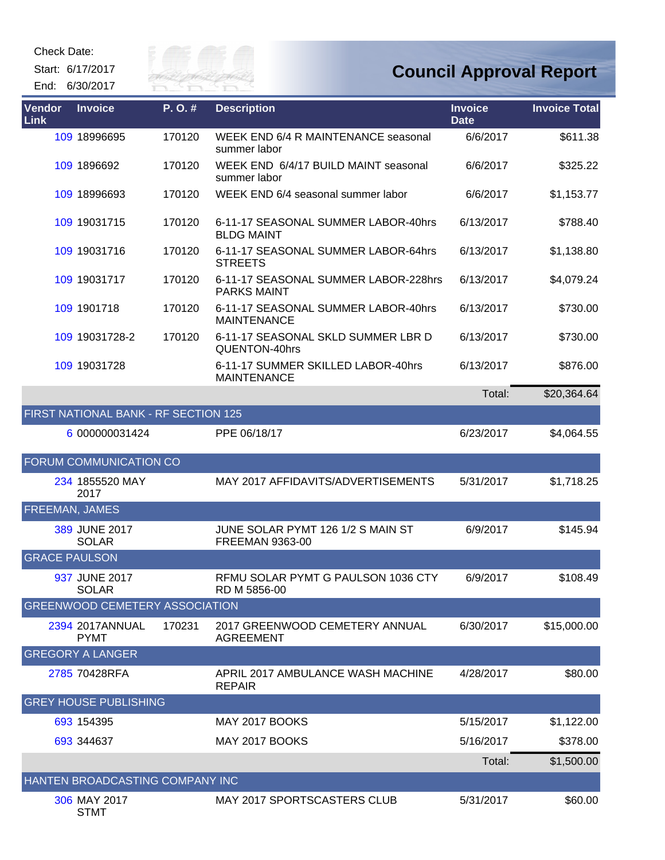Start: 6/17/2017

End: 6/30/2017



| Vendor<br>Link       | <b>Invoice</b>                        | P.O.#  | <b>Description</b>                                          | <b>Invoice</b><br><b>Date</b> | <b>Invoice Total</b> |
|----------------------|---------------------------------------|--------|-------------------------------------------------------------|-------------------------------|----------------------|
|                      | 109 18996695                          | 170120 | WEEK END 6/4 R MAINTENANCE seasonal<br>summer labor         | 6/6/2017                      | \$611.38             |
|                      | 109 1896692                           | 170120 | WEEK END 6/4/17 BUILD MAINT seasonal<br>summer labor        | 6/6/2017                      | \$325.22             |
|                      | 109 18996693                          | 170120 | WEEK END 6/4 seasonal summer labor                          | 6/6/2017                      | \$1,153.77           |
|                      | 109 19031715                          | 170120 | 6-11-17 SEASONAL SUMMER LABOR-40hrs<br><b>BLDG MAINT</b>    | 6/13/2017                     | \$788.40             |
|                      | 109 19031716                          | 170120 | 6-11-17 SEASONAL SUMMER LABOR-64hrs<br><b>STREETS</b>       | 6/13/2017                     | \$1,138.80           |
|                      | 109 19031717                          | 170120 | 6-11-17 SEASONAL SUMMER LABOR-228hrs<br><b>PARKS MAINT</b>  | 6/13/2017                     | \$4,079.24           |
|                      | 109 1901718                           | 170120 | 6-11-17 SEASONAL SUMMER LABOR-40hrs<br><b>MAINTENANCE</b>   | 6/13/2017                     | \$730.00             |
|                      | 109 19031728-2                        | 170120 | 6-11-17 SEASONAL SKLD SUMMER LBR D<br>QUENTON-40hrs         | 6/13/2017                     | \$730.00             |
|                      | 109 19031728                          |        | 6-11-17 SUMMER SKILLED LABOR-40hrs<br><b>MAINTENANCE</b>    | 6/13/2017                     | \$876.00             |
|                      |                                       |        |                                                             | Total:                        | \$20,364.64          |
|                      | FIRST NATIONAL BANK - RF SECTION 125  |        |                                                             |                               |                      |
|                      | 6 000000031424                        |        | PPE 06/18/17                                                | 6/23/2017                     | \$4,064.55           |
|                      | FORUM COMMUNICATION CO                |        |                                                             |                               |                      |
|                      | 234 1855520 MAY<br>2017               |        | MAY 2017 AFFIDAVITS/ADVERTISEMENTS                          | 5/31/2017                     | \$1,718.25           |
| FREEMAN, JAMES       |                                       |        |                                                             |                               |                      |
|                      | 389 JUNE 2017<br><b>SOLAR</b>         |        | JUNE SOLAR PYMT 126 1/2 S MAIN ST<br><b>FREEMAN 9363-00</b> | 6/9/2017                      | \$145.94             |
| <b>GRACE PAULSON</b> |                                       |        |                                                             |                               |                      |
|                      | 937 JUNE 2017<br><b>SOLAR</b>         |        | RFMU SOLAR PYMT G PAULSON 1036 CTY<br>RD M 5856-00          | 6/9/2017                      | \$108.49             |
|                      | <b>GREENWOOD CEMETERY ASSOCIATION</b> |        |                                                             |                               |                      |
|                      | 2394 2017ANNUAL<br><b>PYMT</b>        | 170231 | 2017 GREENWOOD CEMETERY ANNUAL<br><b>AGREEMENT</b>          | 6/30/2017                     | \$15,000.00          |
|                      | <b>GREGORY A LANGER</b>               |        |                                                             |                               |                      |
|                      | 2785 70428RFA                         |        | APRIL 2017 AMBULANCE WASH MACHINE<br><b>REPAIR</b>          | 4/28/2017                     | \$80.00              |
|                      | <b>GREY HOUSE PUBLISHING</b>          |        |                                                             |                               |                      |
|                      | 693 154395                            |        | MAY 2017 BOOKS                                              | 5/15/2017                     | \$1,122.00           |
|                      | 693 344637                            |        | <b>MAY 2017 BOOKS</b>                                       | 5/16/2017                     | \$378.00             |
|                      |                                       |        |                                                             | Total:                        | \$1,500.00           |
|                      | HANTEN BROADCASTING COMPANY INC       |        |                                                             |                               |                      |
|                      | 306 MAY 2017<br><b>STMT</b>           |        | MAY 2017 SPORTSCASTERS CLUB                                 | 5/31/2017                     | \$60.00              |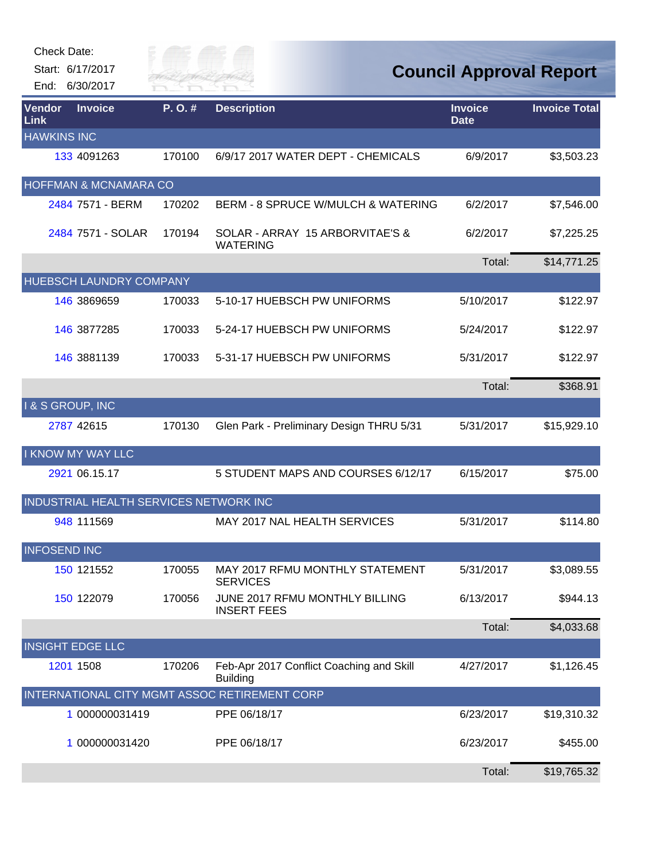| Check Date:         |                                        |                      |                                                             |                               |                                |
|---------------------|----------------------------------------|----------------------|-------------------------------------------------------------|-------------------------------|--------------------------------|
|                     | Start: 6/17/2017<br>End: 6/30/2017     | City of<br>RIVER FAI |                                                             |                               | <b>Council Approval Report</b> |
| Vendor<br>Link      | <b>Invoice</b>                         | P.O.#                | <b>Description</b>                                          | <b>Invoice</b><br><b>Date</b> | <b>Invoice Total</b>           |
| <b>HAWKINS INC</b>  |                                        |                      |                                                             |                               |                                |
|                     | 133 4091263                            | 170100               | 6/9/17 2017 WATER DEPT - CHEMICALS                          | 6/9/2017                      | \$3,503.23                     |
|                     | HOFFMAN & MCNAMARA CO                  |                      |                                                             |                               |                                |
|                     | 2484 7571 - BERM                       | 170202               | <b>BERM - 8 SPRUCE W/MULCH &amp; WATERING</b>               | 6/2/2017                      | \$7,546.00                     |
|                     | 2484 7571 - SOLAR                      | 170194               | SOLAR - ARRAY 15 ARBORVITAE'S &<br><b>WATERING</b>          | 6/2/2017                      | \$7,225.25                     |
|                     |                                        |                      |                                                             | Total:                        | \$14,771.25                    |
|                     | <b>HUEBSCH LAUNDRY COMPANY</b>         |                      |                                                             |                               |                                |
|                     | 146 3869659                            | 170033               | 5-10-17 HUEBSCH PW UNIFORMS                                 | 5/10/2017                     | \$122.97                       |
|                     | 146 3877285                            | 170033               | 5-24-17 HUEBSCH PW UNIFORMS                                 | 5/24/2017                     | \$122.97                       |
|                     | 146 3881139                            | 170033               | 5-31-17 HUEBSCH PW UNIFORMS                                 | 5/31/2017                     | \$122.97                       |
|                     |                                        |                      |                                                             | Total:                        | \$368.91                       |
|                     | I & S GROUP, INC                       |                      |                                                             |                               |                                |
|                     | 2787 42615                             | 170130               | Glen Park - Preliminary Design THRU 5/31                    | 5/31/2017                     | \$15,929.10                    |
|                     | I KNOW MY WAY LLC                      |                      |                                                             |                               |                                |
|                     | 2921 06.15.17                          |                      | 5 STUDENT MAPS AND COURSES 6/12/17                          | 6/15/2017                     | \$75.00                        |
|                     | INDUSTRIAL HEALTH SERVICES NETWORK INC |                      |                                                             |                               |                                |
|                     | 948 111569                             |                      | MAY 2017 NAL HEALTH SERVICES                                | 5/31/2017                     | \$114.80                       |
| <b>INFOSEND INC</b> |                                        |                      |                                                             |                               |                                |
|                     | 150 121552                             | 170055               | MAY 2017 RFMU MONTHLY STATEMENT<br><b>SERVICES</b>          | 5/31/2017                     | \$3,089.55                     |
|                     | 150 122079                             | 170056               | JUNE 2017 RFMU MONTHLY BILLING<br><b>INSERT FEES</b>        | 6/13/2017                     | \$944.13                       |
|                     |                                        |                      |                                                             | Total:                        | \$4,033.68                     |
|                     | <b>INSIGHT EDGE LLC</b>                |                      |                                                             |                               |                                |
|                     | 1201 1508                              | 170206               | Feb-Apr 2017 Conflict Coaching and Skill<br><b>Building</b> | 4/27/2017                     | \$1,126.45                     |
|                     |                                        |                      | INTERNATIONAL CITY MGMT ASSOC RETIREMENT CORP               |                               |                                |
|                     | 1 000000031419                         |                      | PPE 06/18/17                                                | 6/23/2017                     | \$19,310.32                    |
|                     | 1 000000031420                         |                      | PPE 06/18/17                                                | 6/23/2017                     | \$455.00                       |
|                     |                                        |                      |                                                             | Total:                        | \$19,765.32                    |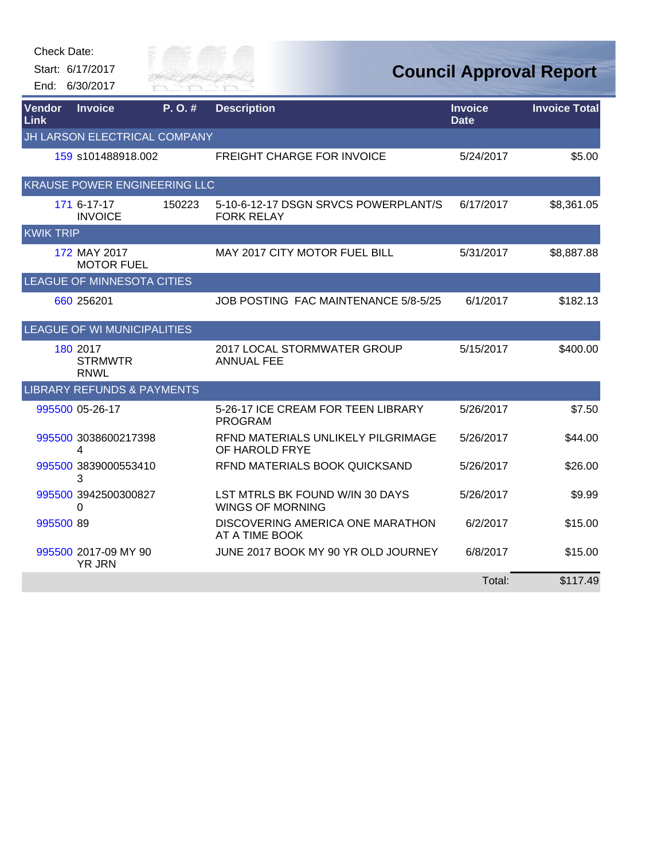| <b>Check Date:</b> |                                           |                      |                                                            |                               |                                |
|--------------------|-------------------------------------------|----------------------|------------------------------------------------------------|-------------------------------|--------------------------------|
|                    | Start: 6/17/2017<br>End: 6/30/2017        | City of<br>RIVER FAI |                                                            |                               | <b>Council Approval Report</b> |
|                    |                                           |                      |                                                            |                               |                                |
| Vendor<br>Link     | <b>Invoice</b>                            | P. O. #              | <b>Description</b>                                         | <b>Invoice</b><br><b>Date</b> | <b>Invoice Total</b>           |
|                    | JH LARSON ELECTRICAL COMPANY              |                      |                                                            |                               |                                |
|                    | 159 s101488918.002                        |                      | <b>FREIGHT CHARGE FOR INVOICE</b>                          | 5/24/2017                     | \$5.00                         |
|                    | <b>KRAUSE POWER ENGINEERING LLC</b>       |                      |                                                            |                               |                                |
|                    | 171 6-17-17<br><b>INVOICE</b>             | 150223               | 5-10-6-12-17 DSGN SRVCS POWERPLANT/S<br><b>FORK RELAY</b>  | 6/17/2017                     | \$8,361.05                     |
| <b>KWIK TRIP</b>   |                                           |                      |                                                            |                               |                                |
|                    | 172 MAY 2017<br><b>MOTOR FUEL</b>         |                      | MAY 2017 CITY MOTOR FUEL BILL                              | 5/31/2017                     | \$8,887.88                     |
|                    | <b>LEAGUE OF MINNESOTA CITIES</b>         |                      |                                                            |                               |                                |
|                    | 660 256201                                |                      | JOB POSTING FAC MAINTENANCE 5/8-5/25                       | 6/1/2017                      | \$182.13                       |
|                    | <b>LEAGUE OF WI MUNICIPALITIES</b>        |                      |                                                            |                               |                                |
|                    | 180 2017<br><b>STRMWTR</b><br><b>RNWL</b> |                      | 2017 LOCAL STORMWATER GROUP<br><b>ANNUAL FEE</b>           | 5/15/2017                     | \$400.00                       |
|                    | <b>LIBRARY REFUNDS &amp; PAYMENTS</b>     |                      |                                                            |                               |                                |
|                    | 995500 05-26-17                           |                      | 5-26-17 ICE CREAM FOR TEEN LIBRARY<br><b>PROGRAM</b>       | 5/26/2017                     | \$7.50                         |
|                    | 995500 3038600217398<br>4                 |                      | RFND MATERIALS UNLIKELY PILGRIMAGE<br>OF HAROLD FRYE       | 5/26/2017                     | \$44.00                        |
|                    | 995500 3839000553410<br>3                 |                      | RFND MATERIALS BOOK QUICKSAND                              | 5/26/2017                     | \$26.00                        |
|                    | 995500 3942500300827<br>0                 |                      | LST MTRLS BK FOUND W/IN 30 DAYS<br><b>WINGS OF MORNING</b> | 5/26/2017                     | \$9.99                         |
| 995500 89          |                                           |                      | DISCOVERING AMERICA ONE MARATHON<br>AT A TIME BOOK         | 6/2/2017                      | \$15.00                        |
|                    | 995500 2017-09 MY 90<br><b>YR JRN</b>     |                      | JUNE 2017 BOOK MY 90 YR OLD JOURNEY                        | 6/8/2017                      | \$15.00                        |
|                    |                                           |                      |                                                            | Total:                        | \$117.49                       |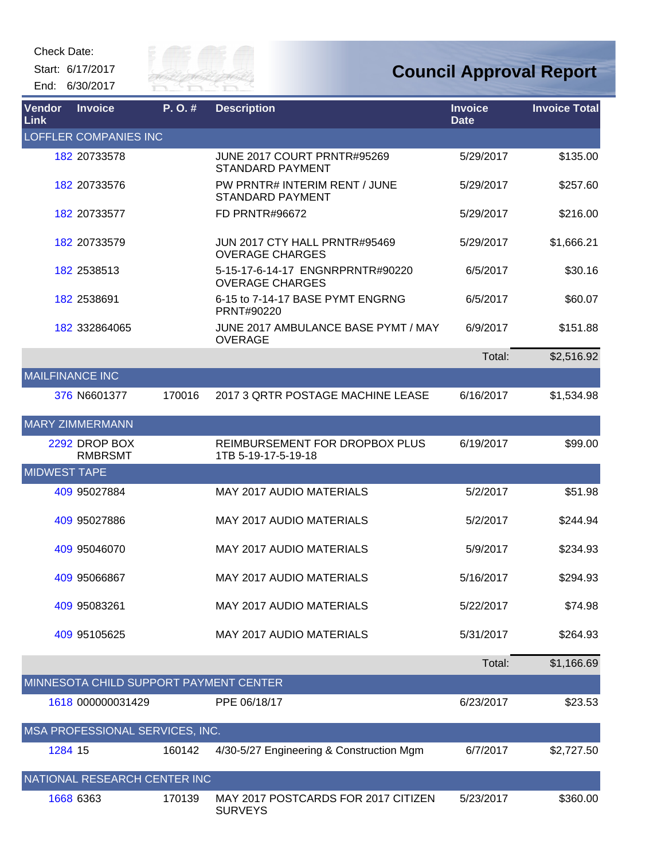Start: 6/17/2017 End: 6/30/2017



| <b>Vendor</b><br><b>Link</b> | <b>Invoice</b>                         | P. O. # | <b>Description</b>                                         | <b>Invoice</b><br><b>Date</b> | <b>Invoice Total</b> |
|------------------------------|----------------------------------------|---------|------------------------------------------------------------|-------------------------------|----------------------|
|                              | <b>LOFFLER COMPANIES INC</b>           |         |                                                            |                               |                      |
|                              | 182 20733578                           |         | JUNE 2017 COURT PRNTR#95269<br><b>STANDARD PAYMENT</b>     | 5/29/2017                     | \$135.00             |
|                              | 182 20733576                           |         | PW PRNTR# INTERIM RENT / JUNE<br><b>STANDARD PAYMENT</b>   | 5/29/2017                     | \$257.60             |
|                              | 182 20733577                           |         | <b>FD PRNTR#96672</b>                                      | 5/29/2017                     | \$216.00             |
|                              | 182 20733579                           |         | JUN 2017 CTY HALL PRNTR#95469<br><b>OVERAGE CHARGES</b>    | 5/29/2017                     | \$1,666.21           |
|                              | 182 2538513                            |         | 5-15-17-6-14-17 ENGNRPRNTR#90220<br><b>OVERAGE CHARGES</b> | 6/5/2017                      | \$30.16              |
|                              | 182 2538691                            |         | 6-15 to 7-14-17 BASE PYMT ENGRNG<br>PRNT#90220             | 6/5/2017                      | \$60.07              |
|                              | 182 332864065                          |         | JUNE 2017 AMBULANCE BASE PYMT / MAY<br><b>OVERAGE</b>      | 6/9/2017                      | \$151.88             |
|                              |                                        |         |                                                            | Total:                        | \$2,516.92           |
| <b>MAILFINANCE INC</b>       |                                        |         |                                                            |                               |                      |
|                              | 376 N6601377                           | 170016  | 2017 3 QRTR POSTAGE MACHINE LEASE                          | 6/16/2017                     | \$1,534.98           |
|                              | <b>MARY ZIMMERMANN</b>                 |         |                                                            |                               |                      |
|                              | 2292 DROP BOX<br><b>RMBRSMT</b>        |         | REIMBURSEMENT FOR DROPBOX PLUS<br>1TB 5-19-17-5-19-18      | 6/19/2017                     | \$99.00              |
| <b>MIDWEST TAPE</b>          |                                        |         |                                                            |                               |                      |
|                              | 409 95027884                           |         | <b>MAY 2017 AUDIO MATERIALS</b>                            | 5/2/2017                      | \$51.98              |
|                              | 409 95027886                           |         | <b>MAY 2017 AUDIO MATERIALS</b>                            | 5/2/2017                      | \$244.94             |
|                              | 409 95046070                           |         | <b>MAY 2017 AUDIO MATERIALS</b>                            | 5/9/2017                      | \$234.93             |
|                              | 409 95066867                           |         | <b>MAY 2017 AUDIO MATERIALS</b>                            | 5/16/2017                     | \$294.93             |
|                              | 409 95083261                           |         | MAY 2017 AUDIO MATERIALS                                   | 5/22/2017                     | \$74.98              |
|                              | 409 95105625                           |         | <b>MAY 2017 AUDIO MATERIALS</b>                            | 5/31/2017                     | \$264.93             |
|                              |                                        |         |                                                            | Total:                        | \$1,166.69           |
|                              | MINNESOTA CHILD SUPPORT PAYMENT CENTER |         |                                                            |                               |                      |
|                              | 1618 000000031429                      |         | PPE 06/18/17                                               | 6/23/2017                     | \$23.53              |
|                              | MSA PROFESSIONAL SERVICES, INC.        |         |                                                            |                               |                      |
| 1284 15                      |                                        | 160142  | 4/30-5/27 Engineering & Construction Mgm                   | 6/7/2017                      | \$2,727.50           |
|                              | NATIONAL RESEARCH CENTER INC           |         |                                                            |                               |                      |
|                              | 1668 6363                              | 170139  | MAY 2017 POSTCARDS FOR 2017 CITIZEN<br><b>SURVEYS</b>      | 5/23/2017                     | \$360.00             |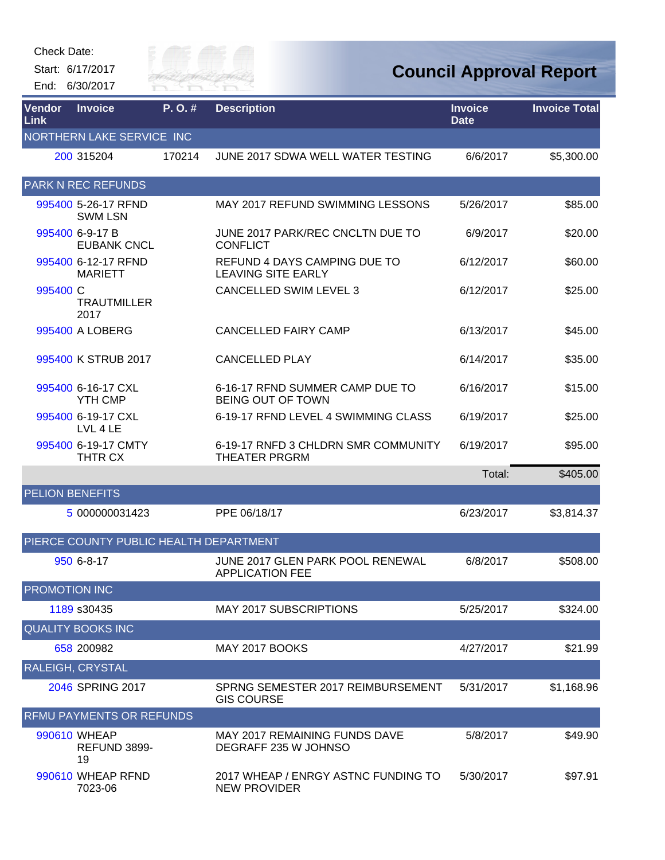Start: 6/17/2017 End: 6/30/2017



| Vendor<br>Link         | <b>Invoice</b>                         | P.O.#  | <b>Description</b>                                          | <b>Invoice</b><br><b>Date</b> | <b>Invoice Total</b> |
|------------------------|----------------------------------------|--------|-------------------------------------------------------------|-------------------------------|----------------------|
|                        | NORTHERN LAKE SERVICE INC              |        |                                                             |                               |                      |
|                        | 200 315204                             | 170214 | JUNE 2017 SDWA WELL WATER TESTING                           | 6/6/2017                      | \$5,300.00           |
|                        | <b>PARK N REC REFUNDS</b>              |        |                                                             |                               |                      |
|                        | 995400 5-26-17 RFND<br><b>SWM LSN</b>  |        | MAY 2017 REFUND SWIMMING LESSONS                            | 5/26/2017                     | \$85.00              |
|                        | 995400 6-9-17 B<br><b>EUBANK CNCL</b>  |        | JUNE 2017 PARK/REC CNCLTN DUE TO<br><b>CONFLICT</b>         | 6/9/2017                      | \$20.00              |
|                        | 995400 6-12-17 RFND<br><b>MARIETT</b>  |        | REFUND 4 DAYS CAMPING DUE TO<br><b>LEAVING SITE EARLY</b>   | 6/12/2017                     | \$60.00              |
| 995400 C               | <b>TRAUTMILLER</b><br>2017             |        | <b>CANCELLED SWIM LEVEL 3</b>                               | 6/12/2017                     | \$25.00              |
|                        | 995400 A LOBERG                        |        | <b>CANCELLED FAIRY CAMP</b>                                 | 6/13/2017                     | \$45.00              |
|                        | 995400 K STRUB 2017                    |        | <b>CANCELLED PLAY</b>                                       | 6/14/2017                     | \$35.00              |
|                        | 995400 6-16-17 CXL<br><b>YTH CMP</b>   |        | 6-16-17 RFND SUMMER CAMP DUE TO<br>BEING OUT OF TOWN        | 6/16/2017                     | \$15.00              |
|                        | 995400 6-19-17 CXL<br>LVL 4 LE         |        | 6-19-17 RFND LEVEL 4 SWIMMING CLASS                         | 6/19/2017                     | \$25.00              |
|                        | 995400 6-19-17 CMTY<br>THTR CX         |        | 6-19-17 RNFD 3 CHLDRN SMR COMMUNITY<br><b>THEATER PRGRM</b> | 6/19/2017                     | \$95.00              |
|                        |                                        |        |                                                             | Total:                        | \$405.00             |
| <b>PELION BENEFITS</b> |                                        |        |                                                             |                               |                      |
|                        | 5 000000031423                         |        | PPE 06/18/17                                                | 6/23/2017                     | \$3,814.37           |
|                        | PIERCE COUNTY PUBLIC HEALTH DEPARTMENT |        |                                                             |                               |                      |
|                        | 950 6-8-17                             |        | JUNE 2017 GLEN PARK POOL RENEWAL<br><b>APPLICATION FEE</b>  | 6/8/2017                      | \$508.00             |
| PROMOTION INC          |                                        |        |                                                             |                               |                      |
|                        | 1189 s30435                            |        | <b>MAY 2017 SUBSCRIPTIONS</b>                               | 5/25/2017                     | \$324.00             |
|                        | <b>QUALITY BOOKS INC</b>               |        |                                                             |                               |                      |
|                        | 658 200982                             |        | MAY 2017 BOOKS                                              | 4/27/2017                     | \$21.99              |
|                        | RALEIGH, CRYSTAL                       |        |                                                             |                               |                      |
|                        | 2046 SPRING 2017                       |        | SPRNG SEMESTER 2017 REIMBURSEMENT<br><b>GIS COURSE</b>      | 5/31/2017                     | \$1,168.96           |
|                        | <b>RFMU PAYMENTS OR REFUNDS</b>        |        |                                                             |                               |                      |
|                        | 990610 WHEAP<br>REFUND 3899-<br>19     |        | MAY 2017 REMAINING FUNDS DAVE<br>DEGRAFF 235 W JOHNSO       | 5/8/2017                      | \$49.90              |
|                        | 990610 WHEAP RFND<br>7023-06           |        | 2017 WHEAP / ENRGY ASTNC FUNDING TO<br><b>NEW PROVIDER</b>  | 5/30/2017                     | \$97.91              |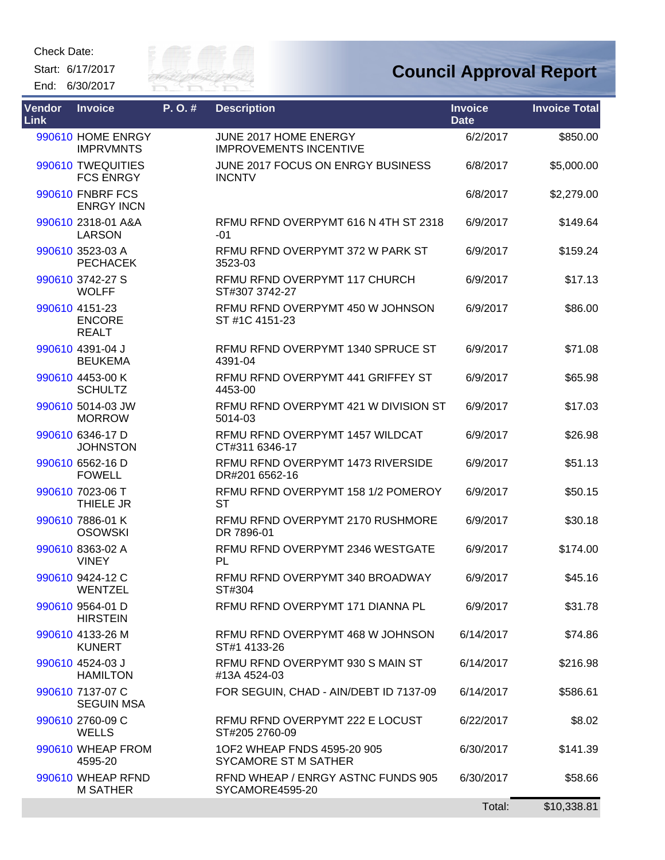Start: 6/17/2017 End: 6/30/2017



| Vendor<br>Link | <b>Invoice</b>                                  | P.O.# | <b>Description</b>                                     | <b>Invoice</b><br><b>Date</b> | <b>Invoice Total</b> |
|----------------|-------------------------------------------------|-------|--------------------------------------------------------|-------------------------------|----------------------|
|                | 990610 HOME ENRGY<br><b>IMPRVMNTS</b>           |       | JUNE 2017 HOME ENERGY<br><b>IMPROVEMENTS INCENTIVE</b> | 6/2/2017                      | \$850.00             |
|                | 990610 TWEQUITIES<br><b>FCS ENRGY</b>           |       | JUNE 2017 FOCUS ON ENRGY BUSINESS<br><b>INCNTV</b>     | 6/8/2017                      | \$5,000.00           |
|                | 990610 FNBRF FCS<br><b>ENRGY INCN</b>           |       |                                                        | 6/8/2017                      | \$2,279.00           |
|                | 990610 2318-01 A&A<br><b>LARSON</b>             |       | RFMU RFND OVERPYMT 616 N 4TH ST 2318<br>$-01$          | 6/9/2017                      | \$149.64             |
|                | 990610 3523-03 A<br><b>PECHACEK</b>             |       | RFMU RFND OVERPYMT 372 W PARK ST<br>3523-03            | 6/9/2017                      | \$159.24             |
|                | 990610 3742-27 S<br><b>WOLFF</b>                |       | RFMU RFND OVERPYMT 117 CHURCH<br>ST#307 3742-27        | 6/9/2017                      | \$17.13              |
|                | 990610 4151-23<br><b>ENCORE</b><br><b>REALT</b> |       | RFMU RFND OVERPYMT 450 W JOHNSON<br>ST #1C 4151-23     | 6/9/2017                      | \$86.00              |
|                | 990610 4391-04 J<br><b>BEUKEMA</b>              |       | RFMU RFND OVERPYMT 1340 SPRUCE ST<br>4391-04           | 6/9/2017                      | \$71.08              |
|                | 990610 4453-00 K<br><b>SCHULTZ</b>              |       | RFMU RFND OVERPYMT 441 GRIFFEY ST<br>4453-00           | 6/9/2017                      | \$65.98              |
|                | 990610 5014-03 JW<br><b>MORROW</b>              |       | REMU REND OVERPYMT 421 W DIVISION ST<br>5014-03        | 6/9/2017                      | \$17.03              |
|                | 990610 6346-17 D<br><b>JOHNSTON</b>             |       | RFMU RFND OVERPYMT 1457 WILDCAT<br>CT#311 6346-17      | 6/9/2017                      | \$26.98              |
|                | 990610 6562-16 D<br><b>FOWELL</b>               |       | RFMU RFND OVERPYMT 1473 RIVERSIDE<br>DR#201 6562-16    | 6/9/2017                      | \$51.13              |
|                | 990610 7023-06 T<br>THIELE JR                   |       | RFMU RFND OVERPYMT 158 1/2 POMEROY<br><b>ST</b>        | 6/9/2017                      | \$50.15              |
|                | 990610 7886-01 K<br><b>OSOWSKI</b>              |       | RFMU RFND OVERPYMT 2170 RUSHMORE<br>DR 7896-01         | 6/9/2017                      | \$30.18              |
|                | 990610 8363-02 A<br><b>VINEY</b>                |       | RFMU RFND OVERPYMT 2346 WESTGATE<br>PL                 | 6/9/2017                      | \$174.00             |
|                | 990610 9424-12 C<br>WENTZEL                     |       | RFMU RFND OVERPYMT 340 BROADWAY<br>ST#304              | 6/9/2017                      | \$45.16              |
|                | 990610 9564-01 D<br><b>HIRSTEIN</b>             |       | RFMU RFND OVERPYMT 171 DIANNA PL                       | 6/9/2017                      | \$31.78              |
|                | 990610 4133-26 M<br><b>KUNERT</b>               |       | RFMU RFND OVERPYMT 468 W JOHNSON<br>ST#1 4133-26       | 6/14/2017                     | \$74.86              |
|                | 990610 4524-03 J<br><b>HAMILTON</b>             |       | RFMU RFND OVERPYMT 930 S MAIN ST<br>#13A 4524-03       | 6/14/2017                     | \$216.98             |
|                | 990610 7137-07 C<br><b>SEGUIN MSA</b>           |       | FOR SEGUIN, CHAD - AIN/DEBT ID 7137-09                 | 6/14/2017                     | \$586.61             |
|                | 990610 2760-09 C<br><b>WELLS</b>                |       | RFMU RFND OVERPYMT 222 E LOCUST<br>ST#205 2760-09      | 6/22/2017                     | \$8.02               |
|                | 990610 WHEAP FROM<br>4595-20                    |       | 1OF2 WHEAP FNDS 4595-20 905<br>SYCAMORE ST M SATHER    | 6/30/2017                     | \$141.39             |
|                | 990610 WHEAP RFND<br><b>M SATHER</b>            |       | RFND WHEAP / ENRGY ASTNC FUNDS 905<br>SYCAMORE4595-20  | 6/30/2017                     | \$58.66              |
|                |                                                 |       |                                                        | Total:                        | \$10,338.81          |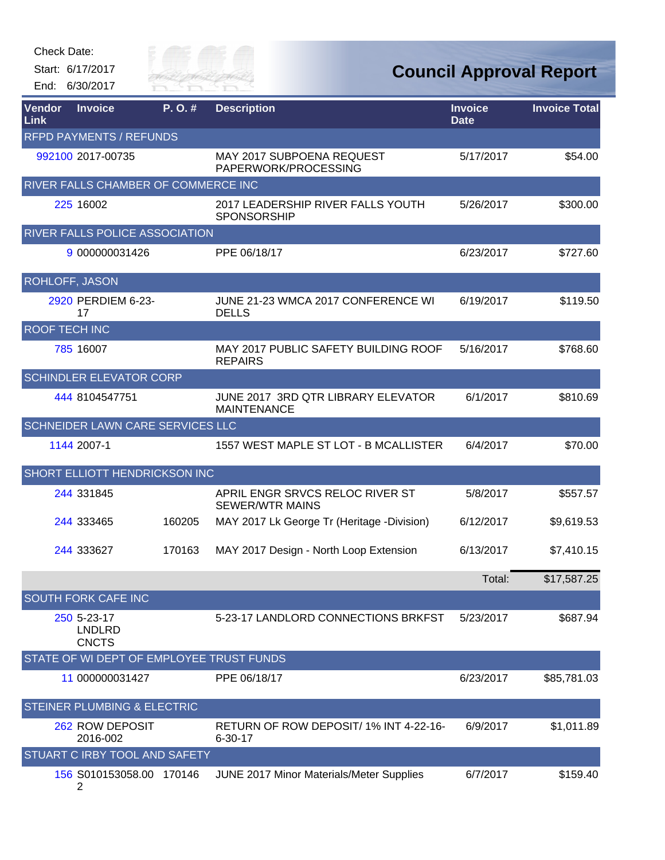| Check Date: |  |
|-------------|--|
|-------------|--|

Start: 6/17/2017 End: 6/30/2017



| Vendor<br>Link        | <b>Invoice</b>                               | P.O.#  | <b>Description</b>                                        | <b>Invoice</b><br><b>Date</b> | <b>Invoice Total</b> |
|-----------------------|----------------------------------------------|--------|-----------------------------------------------------------|-------------------------------|----------------------|
|                       | <b>RFPD PAYMENTS / REFUNDS</b>               |        |                                                           |                               |                      |
|                       | 992100 2017-00735                            |        | MAY 2017 SUBPOENA REQUEST<br>PAPERWORK/PROCESSING         | 5/17/2017                     | \$54.00              |
|                       | RIVER FALLS CHAMBER OF COMMERCE INC          |        |                                                           |                               |                      |
|                       | 225 16002                                    |        | 2017 LEADERSHIP RIVER FALLS YOUTH<br><b>SPONSORSHIP</b>   | 5/26/2017                     | \$300.00             |
|                       | RIVER FALLS POLICE ASSOCIATION               |        |                                                           |                               |                      |
|                       | 9 000000031426                               |        | PPE 06/18/17                                              | 6/23/2017                     | \$727.60             |
| <b>ROHLOFF, JASON</b> |                                              |        |                                                           |                               |                      |
|                       | 2920 PERDIEM 6-23-<br>17                     |        | JUNE 21-23 WMCA 2017 CONFERENCE WI<br><b>DELLS</b>        | 6/19/2017                     | \$119.50             |
| <b>ROOF TECH INC</b>  |                                              |        |                                                           |                               |                      |
|                       | 785 16007                                    |        | MAY 2017 PUBLIC SAFETY BUILDING ROOF<br><b>REPAIRS</b>    | 5/16/2017                     | \$768.60             |
|                       | <b>SCHINDLER ELEVATOR CORP</b>               |        |                                                           |                               |                      |
|                       | 444 8104547751                               |        | JUNE 2017 3RD QTR LIBRARY ELEVATOR<br><b>MAINTENANCE</b>  | 6/1/2017                      | \$810.69             |
|                       | <b>SCHNEIDER LAWN CARE SERVICES LLC</b>      |        |                                                           |                               |                      |
|                       | 1144 2007-1                                  |        | 1557 WEST MAPLE ST LOT - B MCALLISTER                     | 6/4/2017                      | \$70.00              |
|                       | SHORT ELLIOTT HENDRICKSON INC                |        |                                                           |                               |                      |
|                       | 244 331845                                   |        | APRIL ENGR SRVCS RELOC RIVER ST<br><b>SEWER/WTR MAINS</b> | 5/8/2017                      | \$557.57             |
|                       | 244 333465                                   | 160205 | MAY 2017 Lk George Tr (Heritage -Division)                | 6/12/2017                     | \$9,619.53           |
|                       | 244 333627                                   | 170163 | MAY 2017 Design - North Loop Extension                    | 6/13/2017                     | \$7,410.15           |
|                       |                                              |        |                                                           | Total:                        | \$17,587.25          |
|                       | <b>SOUTH FORK CAFE INC</b>                   |        |                                                           |                               |                      |
|                       | 250 5-23-17<br><b>LNDLRD</b><br><b>CNCTS</b> |        | 5-23-17 LANDLORD CONNECTIONS BRKFST                       | 5/23/2017                     | \$687.94             |
|                       | STATE OF WI DEPT OF EMPLOYEE TRUST FUNDS     |        |                                                           |                               |                      |
|                       | 11 000000031427                              |        | PPE 06/18/17                                              | 6/23/2017                     | \$85,781.03          |
|                       | <b>STEINER PLUMBING &amp; ELECTRIC</b>       |        |                                                           |                               |                      |
|                       | 262 ROW DEPOSIT<br>2016-002                  |        | RETURN OF ROW DEPOSIT/1% INT 4-22-16-<br>$6 - 30 - 17$    | 6/9/2017                      | \$1,011.89           |
|                       | STUART C IRBY TOOL AND SAFETY                |        |                                                           |                               |                      |
|                       | 156 S010153058.00 170146<br>2                |        | JUNE 2017 Minor Materials/Meter Supplies                  | 6/7/2017                      | \$159.40             |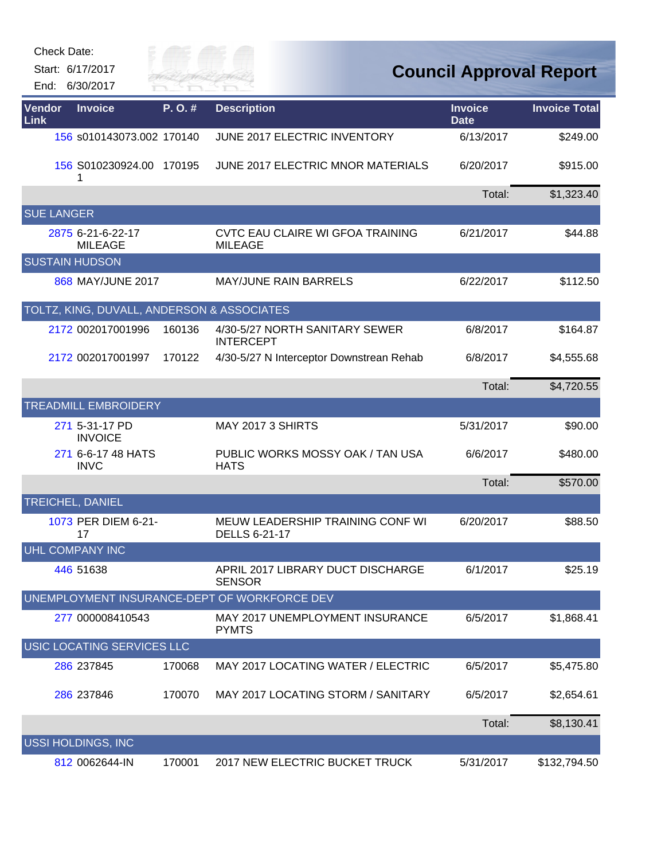|                | Check Date:<br>Start: 6/17/2017<br>End: 6/30/2017     | City of<br>River Fai |                                                          |                               | <b>Council Approval Report</b> |
|----------------|-------------------------------------------------------|----------------------|----------------------------------------------------------|-------------------------------|--------------------------------|
| Vendor<br>Link | <b>Invoice</b>                                        | P.O.#                | <b>Description</b>                                       | <b>Invoice</b><br><b>Date</b> | <b>Invoice Total</b>           |
|                | 156 s010143073.002 170140                             |                      | JUNE 2017 ELECTRIC INVENTORY                             | 6/13/2017                     | \$249.00                       |
|                | 156 S010230924.00<br>1                                | 170195               | JUNE 2017 ELECTRIC MNOR MATERIALS                        | 6/20/2017                     | \$915.00                       |
|                |                                                       |                      |                                                          | Total:                        | \$1,323.40                     |
|                | <b>SUE LANGER</b>                                     |                      |                                                          |                               |                                |
|                | 2875 6-21-6-22-17<br><b>MILEAGE</b>                   |                      | CVTC EAU CLAIRE WI GFOA TRAINING<br><b>MILEAGE</b>       | 6/21/2017                     | \$44.88                        |
|                | <b>SUSTAIN HUDSON</b>                                 |                      |                                                          |                               |                                |
|                | 868 MAY/JUNE 2017                                     |                      | <b>MAY/JUNE RAIN BARRELS</b>                             | 6/22/2017                     | \$112.50                       |
|                | <b>TOLTZ, KING, DUVALL, ANDERSON &amp; ASSOCIATES</b> |                      |                                                          |                               |                                |
|                | 2172 002017001996                                     | 160136               | 4/30-5/27 NORTH SANITARY SEWER<br><b>INTERCEPT</b>       | 6/8/2017                      | \$164.87                       |
|                | 2172 002017001997                                     | 170122               | 4/30-5/27 N Interceptor Downstrean Rehab                 | 6/8/2017                      | \$4,555.68                     |
|                |                                                       |                      |                                                          | Total:                        | \$4,720.55                     |
|                | <b>TREADMILL EMBROIDERY</b>                           |                      |                                                          |                               |                                |
|                | 271 5-31-17 PD<br><b>INVOICE</b>                      |                      | MAY 2017 3 SHIRTS                                        | 5/31/2017                     | \$90.00                        |
|                | 271 6-6-17 48 HATS<br><b>INVC</b>                     |                      | PUBLIC WORKS MOSSY OAK / TAN USA<br><b>HATS</b>          | 6/6/2017                      | \$480.00                       |
|                |                                                       |                      |                                                          | Total:                        | \$570.00                       |
|                | TREICHEL, DANIEL                                      |                      |                                                          |                               |                                |
|                | 1073 PER DIEM 6-21-<br>17                             |                      | MEUW LEADERSHIP TRAINING CONF WI<br><b>DELLS 6-21-17</b> | 6/20/2017                     | \$88.50                        |
|                | UHL COMPANY INC                                       |                      |                                                          |                               |                                |
|                | 446 51638                                             |                      | APRIL 2017 LIBRARY DUCT DISCHARGE<br><b>SENSOR</b>       | 6/1/2017                      | \$25.19                        |
|                |                                                       |                      | UNEMPLOYMENT INSURANCE-DEPT OF WORKFORCE DEV             |                               |                                |
|                | 277 000008410543                                      |                      | MAY 2017 UNEMPLOYMENT INSURANCE<br><b>PYMTS</b>          | 6/5/2017                      | \$1,868.41                     |
|                | USIC LOCATING SERVICES LLC                            |                      |                                                          |                               |                                |
|                | 286 237845                                            | 170068               | MAY 2017 LOCATING WATER / ELECTRIC                       | 6/5/2017                      | \$5,475.80                     |
|                | 286 237846                                            | 170070               | MAY 2017 LOCATING STORM / SANITARY                       | 6/5/2017                      | \$2,654.61                     |
|                |                                                       |                      |                                                          | Total:                        | \$8,130.41                     |
|                | <b>USSI HOLDINGS, INC</b>                             |                      |                                                          |                               |                                |
|                | 812 0062644-IN                                        | 170001               | 2017 NEW ELECTRIC BUCKET TRUCK                           | 5/31/2017                     | \$132,794.50                   |